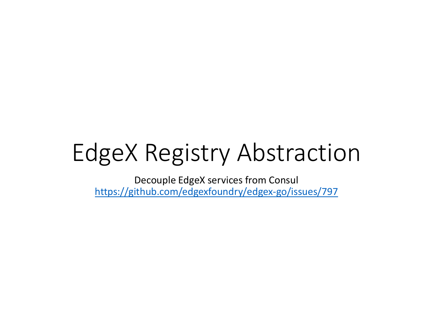# EdgeX Registry Abstraction

Decouple EdgeX services from Consul https://github.com/edgexfoundry/edgex-go/issues/797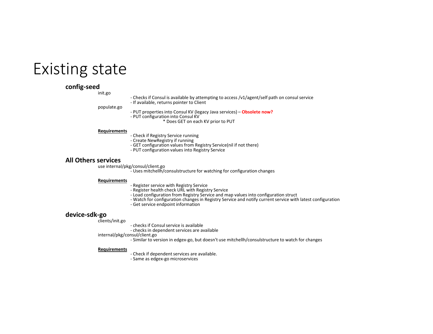### Existing state

### **config-seed**

- Checks if Consul is available by attempting to access /v1/agent/self path on consul service - If available, returns pointer to Client
- 
- populate.go PUT properties into Consul KV (legacy Java services) **Obsolete now?** PUT configuration into Consul KV
	- - \* Does GET on each KV prior to PUT

- **Requirements** Check if Registry Service running
	-
	- GET configuration values from Registry Service(nil if not there)
	- PUT configuration values into Registry Service

### **All Others services**

proces, proces internal metallicient. For watching for configuration changes

- **Requirements** Register service with Registry Service
	- Register health check URL with Registry Service
	- Load configuration from Registry Service and map values into configuration struct
	- Watch for configuration changes in Registry Service and notify current service with latest configuration
	- Get service endpoint information

### **device-sdk-go**

- checks if Consul service is available

- checks in dependent services are available<br>internal/pkg/consul/client.go

- Similar to version in edgex-go, but doesn't use mitchellh/consulstructure to watch for changes

**Requirements** - Check if dependent services are available.

- Same as edgex-go microservices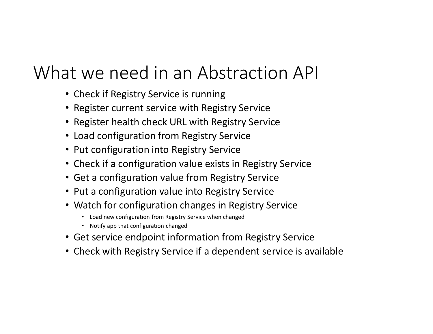## What we need in an Abstraction API

- Check if Registry Service is running
- Register current service with Registry Service
- Register health check URL with Registry Service
- Load configuration from Registry Service
- Put configuration into Registry Service
- Check if a configuration value exists in Registry Service
- Get a configuration value from Registry Service
- Put a configuration value into Registry Service
- Watch for configuration changes in Registry Service
	- Load new configuration from Registry Service when changed
	- Notify app that configuration changed
- Get service endpoint information from Registry Service
- Check with Registry Service if a dependent service is available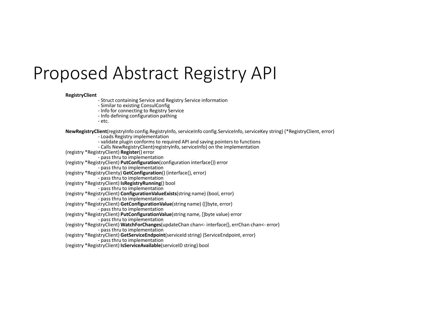## Proposed Abstract Registry API

- **RegistryClient**<br>- Struct containing Service and Registry Service information<br>- Similar to existing ConsulConfig
	-
	- Info for connecting to Registry Service
	- Info defining configuration pathing
	- etc.

**NewRegistryClient**(registryInfo config.RegistryInfo, serviceInfo config.ServiceInfo, serviceKey string) (\*RegistryClient, error) - Loads Registry implementation

- 
- validate plugin conforms to required API and saving pointers to functions
- Calls NewRegistryClient(registryInfo, serviceInfo) on the implementation
- (registry \*RegistryClient) **Register**() error pass thru to implementation
	-

(registry \*RegistryClient) **PutConfiguration**(configuration interface{}) error - pass thru to implementation

- 
- (registry \*RegistryClienty) **GetConfiguration**() (interface{}, error) pass thru to implementation
	-
- (registry \*RegistryClient) **IsRegistryRunning**() bool pass thru to implementation
	-
- (registry \*RegistryClient) **ConfigurationValueExists**(string name) (bool, error) pass thru to implementation
	-
- (registry \*RegistryClient) **GetConfigurationValue**(string name) ([]byte, error) pass thru to implementation
	-
- (registry \*RegistryClient) **PutConfigurationValue**(string name, []byte value) error pass thru to implementation
	-
- (registry \*RegistryClient) **WatchForChanges**(updateChan chan<- interface{}, errChan chan<- error) pass thru to implementation
- (registry \*RegistryClient) **GetServiceEndpoint**(serviceId string) (ServiceEndpoint, error) pass thru to implementation
- (registry \*RegistryClient) **IsServiceAvailable**(serviceID string) bool